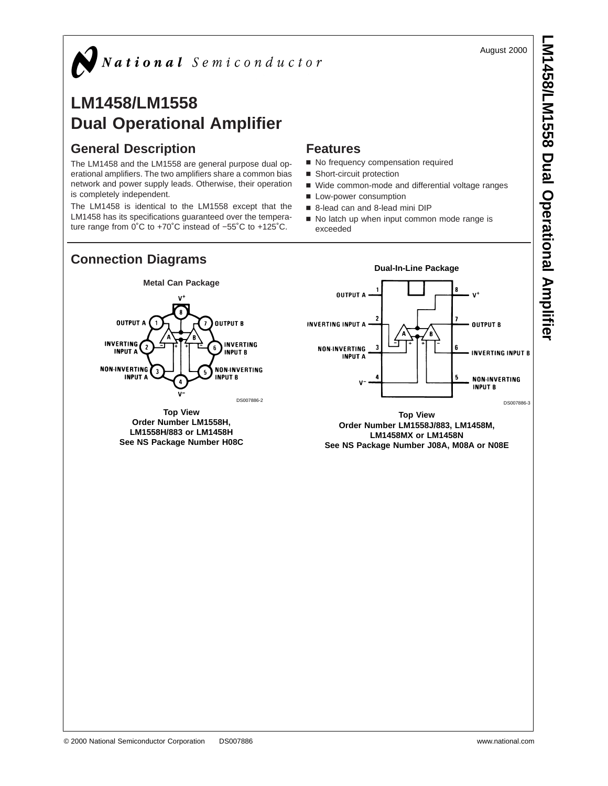August 2000



# **LM1458/LM1558 Dual Operational Amplifier**

## **General Description**

**OUTPUT A** 

- 2

٠,

**INVERTING** 

**INPUT A** 

**NON-INVERTING** 

**INPUT A** 

The LM1458 and the LM1558 are general purpose dual operational amplifiers. The two amplifiers share a common bias network and power supply leads. Otherwise, their operation is completely independent.

The LM1458 is identical to the LM1558 except that the LM1458 has its specifications guaranteed over the temperature range from 0˚C to +70˚C instead of −55˚C to +125˚C.

### **Features**

- No frequency compensation required
- Short-circuit protection
- Wide common-mode and differential voltage ranges
- **Low-power consumption**
- 8-lead can and 8-lead mini DIP
- No latch up when input common mode range is exceeded



**Order Number LM1558H, LM1558H/883 or LM1458H See NS Package Number H08C**

**LM1458MX or LM1458N See NS Package Number J08A, M08A or N08E**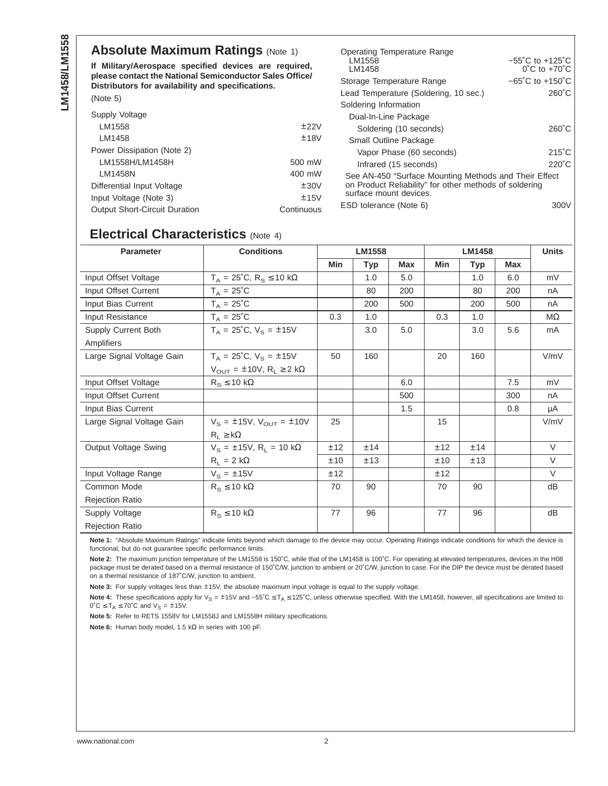#### **Absolute Maximum Ratings (Note 1)**

**If Military/Aerospace specified devices are required, please contact the National Semiconductor Sales Office/ Distributors for availability and specifications.**

| <b>DISTINUIVES TOF AVAILABILITY AND SPECIFICATIONS.</b> |            | Lead Temperature (Soldering, 10 sec.)                  |                 |  |  |  |
|---------------------------------------------------------|------------|--------------------------------------------------------|-----------------|--|--|--|
| (Note 5)                                                |            | $260^{\circ}$ C                                        |                 |  |  |  |
|                                                         |            | Soldering Information                                  |                 |  |  |  |
| Supply Voltage                                          |            | Dual-In-Line Package                                   |                 |  |  |  |
| LM1558                                                  | ±22V       | Soldering (10 seconds)                                 | $260^{\circ}$ C |  |  |  |
| LM1458                                                  | ±18V       | Small Outline Package                                  |                 |  |  |  |
| Power Dissipation (Note 2)                              |            | Vapor Phase (60 seconds)                               | $215^{\circ}$ C |  |  |  |
| LM1558H/LM1458H                                         | 500 mW     | Infrared (15 seconds)                                  | $220^{\circ}$ C |  |  |  |
| LM1458N                                                 | 400 mW     | See AN-450 "Surface Mounting Methods and Their Effect  |                 |  |  |  |
| Differential Input Voltage                              | ±30V       | on Product Reliability" for other methods of soldering |                 |  |  |  |
| Input Voltage (Note 3)                                  | ±15V       | surface mount devices.                                 |                 |  |  |  |
| <b>Output Short-Circuit Duration</b>                    | Continuous | ESD tolerance (Note 6)                                 | 300V            |  |  |  |

Operating Temperature Range

Storage Temperature Range −65˚C to +150˚C

−55˚C to +125˚C 0˚C to +70˚C

LM1558 LM1458

#### **Electrical Characteristics** (Note 4)

| <b>Parameter</b>          | <b>Conditions</b>                                  | <b>LM1558</b> |     |            | <b>LM1458</b> |            |            | <b>Units</b> |
|---------------------------|----------------------------------------------------|---------------|-----|------------|---------------|------------|------------|--------------|
|                           |                                                    | Min           | Typ | <b>Max</b> | Min           | <b>Typ</b> | <b>Max</b> |              |
| Input Offset Voltage      | $T_A = 25^{\circ}C$ , $R_S \le 10 \text{ k}\Omega$ |               | 1.0 | 5.0        |               | 1.0        | 6.0        | mV           |
| Input Offset Current      | $T_A = 25^{\circ}C$                                |               | 80  | 200        |               | 80         | 200        | nA           |
| Input Bias Current        | $T_A = 25^{\circ}C$                                |               | 200 | 500        |               | 200        | 500        | nA           |
| Input Resistance          | $T_A = 25^{\circ}C$                                | 0.3           | 1.0 |            | 0.3           | 1.0        |            | $M\Omega$    |
| Supply Current Both       | $T_A = 25^{\circ}C$ , $V_S = \pm 15V$              |               | 3.0 | 5.0        |               | 3.0        | 5.6        | mA           |
| Amplifiers                |                                                    |               |     |            |               |            |            |              |
| Large Signal Voltage Gain | $T_A = 25^{\circ}C$ , $V_S = \pm 15V$              | 50            | 160 |            | 20            | 160        |            | V/mV         |
|                           | $V_{\text{OUT}} = \pm 10V$ , $R_L \ge 2$ kΩ        |               |     |            |               |            |            |              |
| Input Offset Voltage      | $R_s \leq 10 \text{ k}\Omega$                      |               |     | 6.0        |               |            | 7.5        | mV           |
| Input Offset Current      |                                                    |               |     | 500        |               |            | 300        | nA           |
| Input Bias Current        |                                                    |               |     | 1.5        |               |            | 0.8        | μA           |
| Large Signal Voltage Gain | $V_s = \pm 15V$ , $V_{OUT} = \pm 10V$              | 25            |     |            | 15            |            |            | V/mV         |
|                           | $R_1 \geq k\Omega$                                 |               |     |            |               |            |            |              |
| Output Voltage Swing      | $V_{\rm s} = \pm 15V$ , R <sub>L</sub> = 10 kΩ     | ±12           | ±14 |            | ±12           | ±14        |            | $\vee$       |
|                           | $R_L = 2 k\Omega$                                  | ±10           | ±13 |            | ±10           | ±13        |            | $\vee$       |
| Input Voltage Range       | $V_s = \pm 15V$                                    | ±12           |     |            | ±12           |            |            | $\vee$       |
| Common Mode               | $R_S \leq 10 k\Omega$                              | 70            | 90  |            | 70            | 90         |            | dB           |
| <b>Rejection Ratio</b>    |                                                    |               |     |            |               |            |            |              |
| Supply Voltage            | $R_{\rm S} \leq 10 \text{ k}\Omega$                | 77            | 96  |            | 77            | 96         |            | dB           |
| <b>Rejection Ratio</b>    |                                                    |               |     |            |               |            |            |              |

**Note 1:** "Absolute Maximum Ratings" indicate limits beyond which damage to the device may occur. Operating Ratings indicate conditions for which the device is functional, but do not guarantee specific performance limits.

**Note 2:** The maximum junction temperature of the LM1558 is 150˚C, while that of the LM1458 is 100˚C. For operating at elevated temperatures, devices in the H08 package must be derated based on a thermal resistance of 150°C/W, junction to ambient or 20°C/W, junction to case. For the DIP the device must be derated based on a thermal resistance of 187˚C/W, junction to ambient.

**Note 3:** For supply voltages less than ±15V, the absolute maximum input voltage is equal to the supply voltage.

Note 4: These specifications apply for V<sub>S</sub> = ±15V and −55°C ≤ T<sub>A</sub> ≤ 125°C, unless otherwise specified. With the LM1458, however, all specifications are limited to  $0^{\circ}C \leq T_A \leq 70^{\circ}C$  and  $V_S = \pm 15V$ .

**Note 5:** Refer to RETS 1558V for LM1558J and LM1558H military specifications.

**Note 6:** Human body model, 1.5 kΩ in series with 100 pF.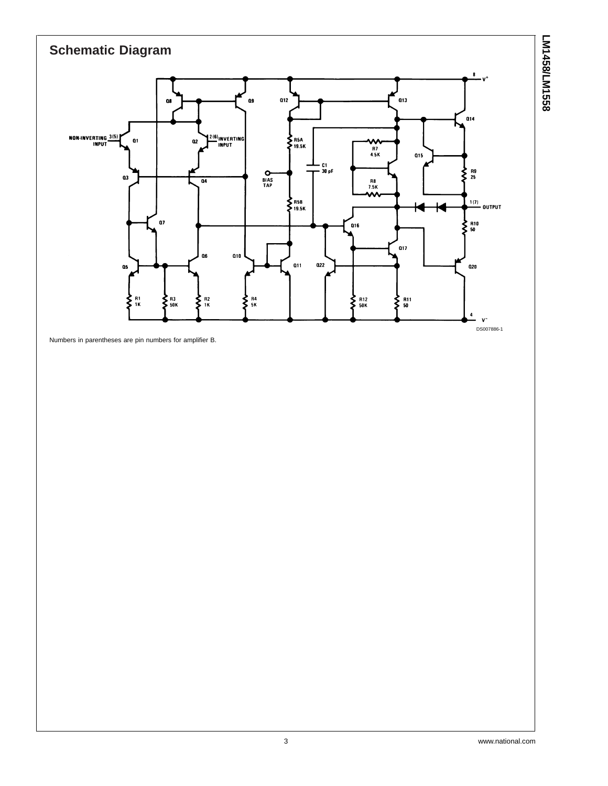

Numbers in parentheses are pin numbers for amplifier B.

**LM1458/LM1558**

LM1458/LM1558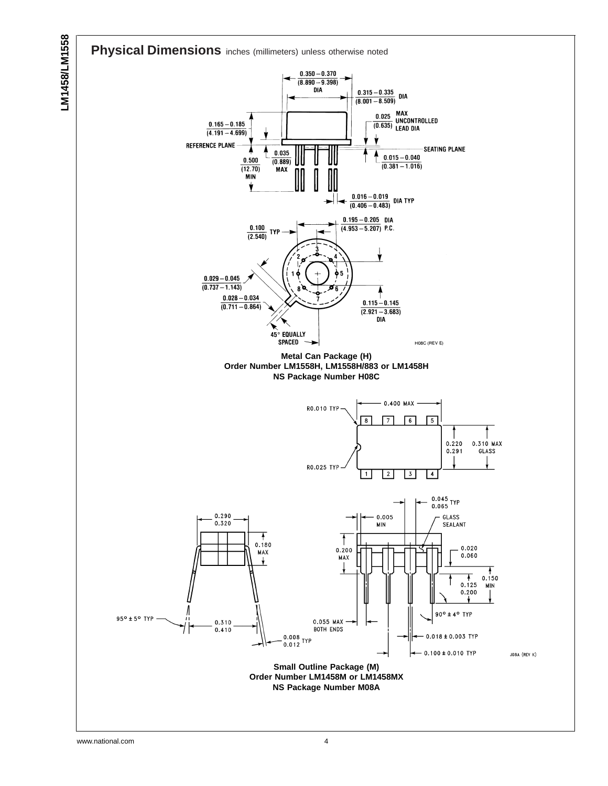



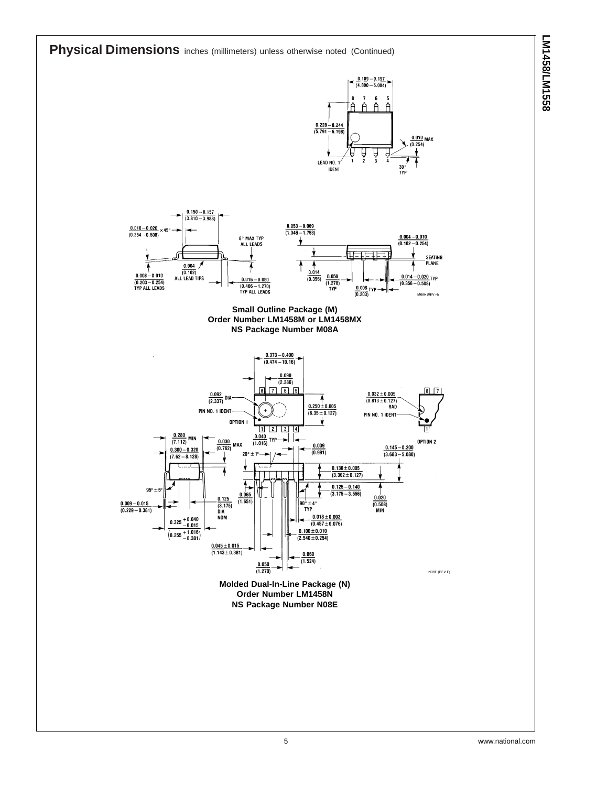**Physical Dimensions** inches (millimeters) unless otherwise noted (Continued)









**Order Number LM1458N NS Package Number N08E**